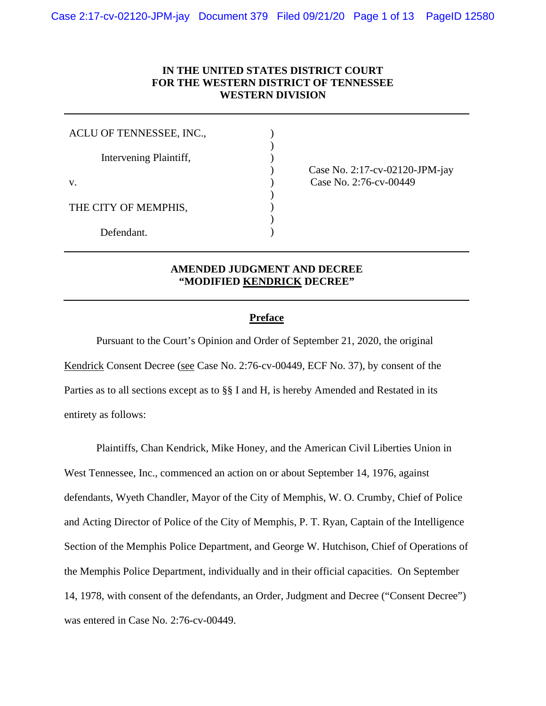## **IN THE UNITED STATES DISTRICT COURT FOR THE WESTERN DISTRICT OF TENNESSEE WESTERN DIVISION**

) )  $\mathcal{L}$ 

 $\mathcal{L}$ )  $\mathcal{L}$  $\lambda$ 

| ACLU OF TENNESSEE, INC., |  |
|--------------------------|--|
| Intervening Plaintiff,   |  |
| V.                       |  |
| THE CITY OF MEMPHIS,     |  |
| Defendant.               |  |

) Case No. 2:17-cv-02120-JPM-jay (ase No. 2:76-cv-00449)

# **AMENDED JUDGMENT AND DECREE "MODIFIED KENDRICK DECREE"**

## **Preface**

Pursuant to the Court's Opinion and Order of September 21, 2020, the original Kendrick Consent Decree (see Case No. 2:76-cv-00449, ECF No. 37), by consent of the Parties as to all sections except as to §§ I and H, is hereby Amended and Restated in its entirety as follows:

Plaintiffs, Chan Kendrick, Mike Honey, and the American Civil Liberties Union in West Tennessee, Inc., commenced an action on or about September 14, 1976, against defendants, Wyeth Chandler, Mayor of the City of Memphis, W. O. Crumby, Chief of Police and Acting Director of Police of the City of Memphis, P. T. Ryan, Captain of the Intelligence Section of the Memphis Police Department, and George W. Hutchison, Chief of Operations of the Memphis Police Department, individually and in their official capacities. On September 14, 1978, with consent of the defendants, an Order, Judgment and Decree ("Consent Decree") was entered in Case No. 2:76-cv-00449.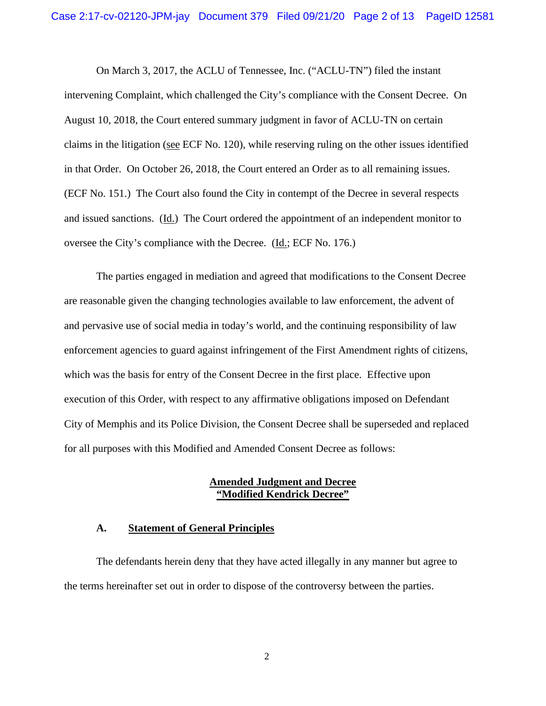On March 3, 2017, the ACLU of Tennessee, Inc. ("ACLU-TN") filed the instant intervening Complaint, which challenged the City's compliance with the Consent Decree. On August 10, 2018, the Court entered summary judgment in favor of ACLU-TN on certain claims in the litigation (see ECF No. 120), while reserving ruling on the other issues identified in that Order. On October 26, 2018, the Court entered an Order as to all remaining issues. (ECF No. 151.) The Court also found the City in contempt of the Decree in several respects and issued sanctions. (Id.) The Court ordered the appointment of an independent monitor to oversee the City's compliance with the Decree. (Id.; ECF No. 176.)

The parties engaged in mediation and agreed that modifications to the Consent Decree are reasonable given the changing technologies available to law enforcement, the advent of and pervasive use of social media in today's world, and the continuing responsibility of law enforcement agencies to guard against infringement of the First Amendment rights of citizens, which was the basis for entry of the Consent Decree in the first place. Effective upon execution of this Order, with respect to any affirmative obligations imposed on Defendant City of Memphis and its Police Division, the Consent Decree shall be superseded and replaced for all purposes with this Modified and Amended Consent Decree as follows:

## **Amended Judgment and Decree "Modified Kendrick Decree"**

#### **A. Statement of General Principles**

The defendants herein deny that they have acted illegally in any manner but agree to the terms hereinafter set out in order to dispose of the controversy between the parties.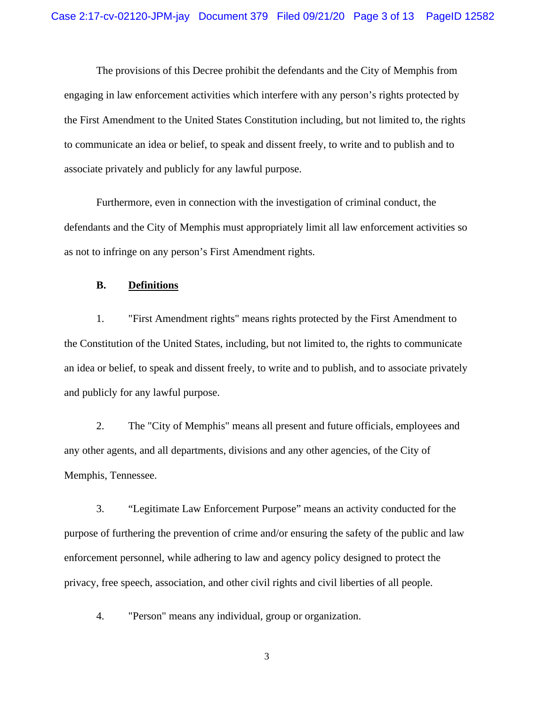The provisions of this Decree prohibit the defendants and the City of Memphis from engaging in law enforcement activities which interfere with any person's rights protected by the First Amendment to the United States Constitution including, but not limited to, the rights to communicate an idea or belief, to speak and dissent freely, to write and to publish and to associate privately and publicly for any lawful purpose.

Furthermore, even in connection with the investigation of criminal conduct, the defendants and the City of Memphis must appropriately limit all law enforcement activities so as not to infringe on any person's First Amendment rights.

#### **B. Definitions**

1. "First Amendment rights" means rights protected by the First Amendment to the Constitution of the United States, including, but not limited to, the rights to communicate an idea or belief, to speak and dissent freely, to write and to publish, and to associate privately and publicly for any lawful purpose.

2. The "City of Memphis" means all present and future officials, employees and any other agents, and all departments, divisions and any other agencies, of the City of Memphis, Tennessee.

3. "Legitimate Law Enforcement Purpose" means an activity conducted for the purpose of furthering the prevention of crime and/or ensuring the safety of the public and law enforcement personnel, while adhering to law and agency policy designed to protect the privacy, free speech, association, and other civil rights and civil liberties of all people.

4. "Person" means any individual, group or organization.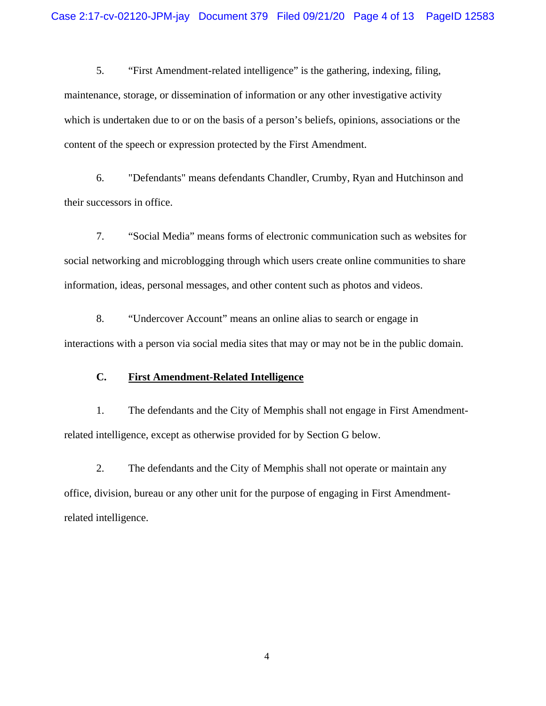5. "First Amendment-related intelligence" is the gathering, indexing, filing, maintenance, storage, or dissemination of information or any other investigative activity which is undertaken due to or on the basis of a person's beliefs, opinions, associations or the content of the speech or expression protected by the First Amendment.

6. "Defendants" means defendants Chandler, Crumby, Ryan and Hutchinson and their successors in office.

7. "Social Media" means forms of electronic communication such as websites for social networking and microblogging through which users create online communities to share information, ideas, personal messages, and other content such as photos and videos.

8. "Undercover Account" means an online alias to search or engage in interactions with a person via social media sites that may or may not be in the public domain.

## **C. First Amendment-Related Intelligence**

1. The defendants and the City of Memphis shall not engage in First Amendmentrelated intelligence, except as otherwise provided for by Section G below.

2. The defendants and the City of Memphis shall not operate or maintain any office, division, bureau or any other unit for the purpose of engaging in First Amendmentrelated intelligence.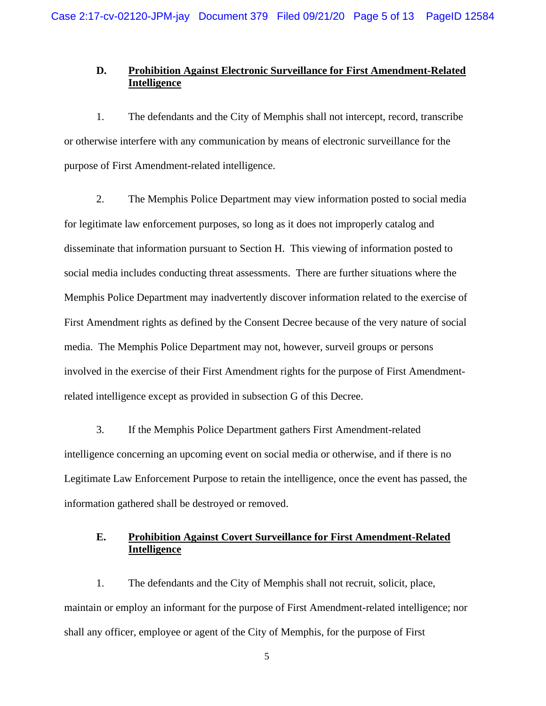## **D. Prohibition Against Electronic Surveillance for First Amendment-Related Intelligence**

1. The defendants and the City of Memphis shall not intercept, record, transcribe or otherwise interfere with any communication by means of electronic surveillance for the purpose of First Amendment-related intelligence.

2. The Memphis Police Department may view information posted to social media for legitimate law enforcement purposes, so long as it does not improperly catalog and disseminate that information pursuant to Section H. This viewing of information posted to social media includes conducting threat assessments. There are further situations where the Memphis Police Department may inadvertently discover information related to the exercise of First Amendment rights as defined by the Consent Decree because of the very nature of social media. The Memphis Police Department may not, however, surveil groups or persons involved in the exercise of their First Amendment rights for the purpose of First Amendmentrelated intelligence except as provided in subsection G of this Decree.

3. If the Memphis Police Department gathers First Amendment-related intelligence concerning an upcoming event on social media or otherwise, and if there is no Legitimate Law Enforcement Purpose to retain the intelligence, once the event has passed, the information gathered shall be destroyed or removed.

# **E. Prohibition Against Covert Surveillance for First Amendment-Related Intelligence**

1. The defendants and the City of Memphis shall not recruit, solicit, place, maintain or employ an informant for the purpose of First Amendment-related intelligence; nor shall any officer, employee or agent of the City of Memphis, for the purpose of First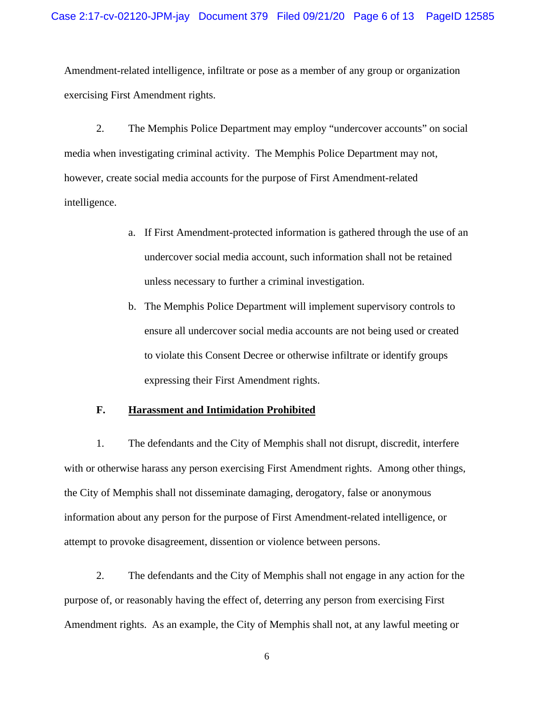Amendment-related intelligence, infiltrate or pose as a member of any group or organization exercising First Amendment rights.

2. The Memphis Police Department may employ "undercover accounts" on social media when investigating criminal activity. The Memphis Police Department may not, however, create social media accounts for the purpose of First Amendment-related intelligence.

- a. If First Amendment-protected information is gathered through the use of an undercover social media account, such information shall not be retained unless necessary to further a criminal investigation.
- b. The Memphis Police Department will implement supervisory controls to ensure all undercover social media accounts are not being used or created to violate this Consent Decree or otherwise infiltrate or identify groups expressing their First Amendment rights.

#### **F. Harassment and Intimidation Prohibited**

1. The defendants and the City of Memphis shall not disrupt, discredit, interfere with or otherwise harass any person exercising First Amendment rights. Among other things, the City of Memphis shall not disseminate damaging, derogatory, false or anonymous information about any person for the purpose of First Amendment-related intelligence, or attempt to provoke disagreement, dissention or violence between persons.

2. The defendants and the City of Memphis shall not engage in any action for the purpose of, or reasonably having the effect of, deterring any person from exercising First Amendment rights. As an example, the City of Memphis shall not, at any lawful meeting or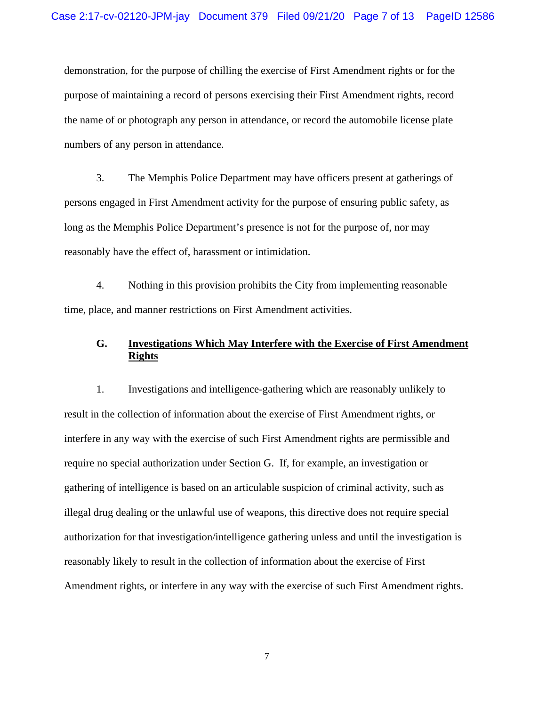demonstration, for the purpose of chilling the exercise of First Amendment rights or for the purpose of maintaining a record of persons exercising their First Amendment rights, record the name of or photograph any person in attendance, or record the automobile license plate numbers of any person in attendance.

3. The Memphis Police Department may have officers present at gatherings of persons engaged in First Amendment activity for the purpose of ensuring public safety, as long as the Memphis Police Department's presence is not for the purpose of, nor may reasonably have the effect of, harassment or intimidation.

4. Nothing in this provision prohibits the City from implementing reasonable time, place, and manner restrictions on First Amendment activities.

# **G. Investigations Which May Interfere with the Exercise of First Amendment Rights**

1. Investigations and intelligence-gathering which are reasonably unlikely to result in the collection of information about the exercise of First Amendment rights, or interfere in any way with the exercise of such First Amendment rights are permissible and require no special authorization under Section G. If, for example, an investigation or gathering of intelligence is based on an articulable suspicion of criminal activity, such as illegal drug dealing or the unlawful use of weapons, this directive does not require special authorization for that investigation/intelligence gathering unless and until the investigation is reasonably likely to result in the collection of information about the exercise of First Amendment rights, or interfere in any way with the exercise of such First Amendment rights.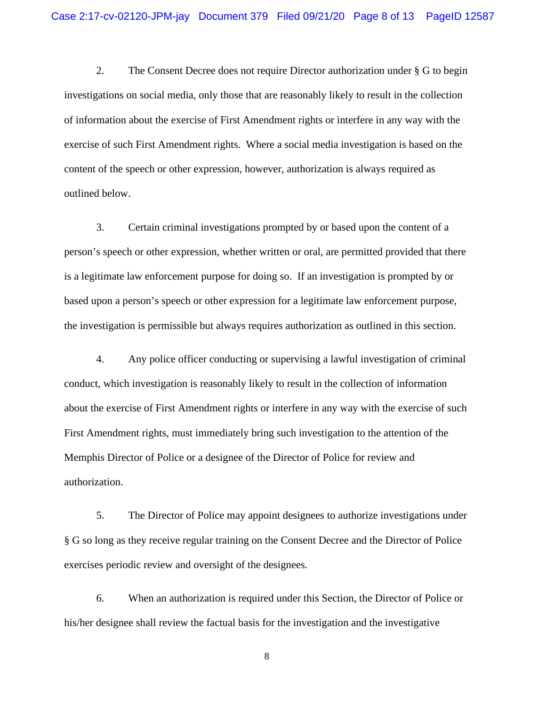2. The Consent Decree does not require Director authorization under § G to begin investigations on social media, only those that are reasonably likely to result in the collection of information about the exercise of First Amendment rights or interfere in any way with the exercise of such First Amendment rights. Where a social media investigation is based on the content of the speech or other expression, however, authorization is always required as outlined below.

3. Certain criminal investigations prompted by or based upon the content of a person's speech or other expression, whether written or oral, are permitted provided that there is a legitimate law enforcement purpose for doing so. If an investigation is prompted by or based upon a person's speech or other expression for a legitimate law enforcement purpose, the investigation is permissible but always requires authorization as outlined in this section.

4. Any police officer conducting or supervising a lawful investigation of criminal conduct, which investigation is reasonably likely to result in the collection of information about the exercise of First Amendment rights or interfere in any way with the exercise of such First Amendment rights, must immediately bring such investigation to the attention of the Memphis Director of Police or a designee of the Director of Police for review and authorization.

5. The Director of Police may appoint designees to authorize investigations under § G so long as they receive regular training on the Consent Decree and the Director of Police exercises periodic review and oversight of the designees.

6. When an authorization is required under this Section, the Director of Police or his/her designee shall review the factual basis for the investigation and the investigative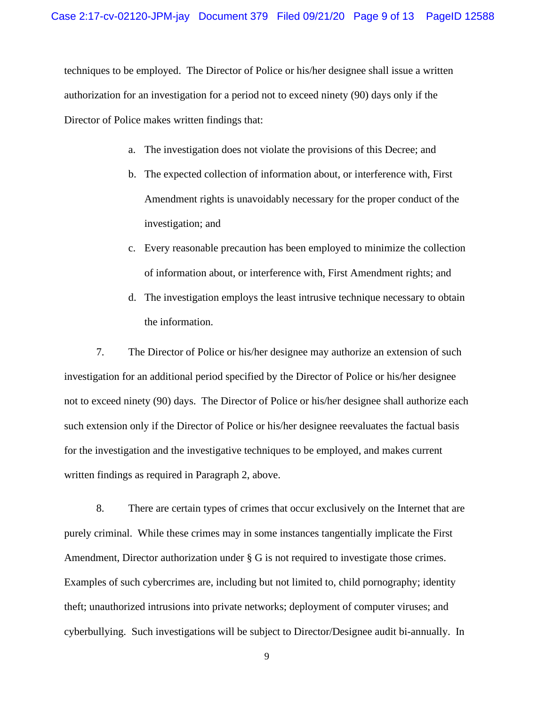techniques to be employed. The Director of Police or his/her designee shall issue a written authorization for an investigation for a period not to exceed ninety (90) days only if the Director of Police makes written findings that:

- a. The investigation does not violate the provisions of this Decree; and
- b. The expected collection of information about, or interference with, First Amendment rights is unavoidably necessary for the proper conduct of the investigation; and
- c. Every reasonable precaution has been employed to minimize the collection of information about, or interference with, First Amendment rights; and
- d. The investigation employs the least intrusive technique necessary to obtain the information.

7. The Director of Police or his/her designee may authorize an extension of such investigation for an additional period specified by the Director of Police or his/her designee not to exceed ninety (90) days. The Director of Police or his/her designee shall authorize each such extension only if the Director of Police or his/her designee reevaluates the factual basis for the investigation and the investigative techniques to be employed, and makes current written findings as required in Paragraph 2, above.

8. There are certain types of crimes that occur exclusively on the Internet that are purely criminal. While these crimes may in some instances tangentially implicate the First Amendment, Director authorization under § G is not required to investigate those crimes. Examples of such cybercrimes are, including but not limited to, child pornography; identity theft; unauthorized intrusions into private networks; deployment of computer viruses; and cyberbullying. Such investigations will be subject to Director/Designee audit bi-annually. In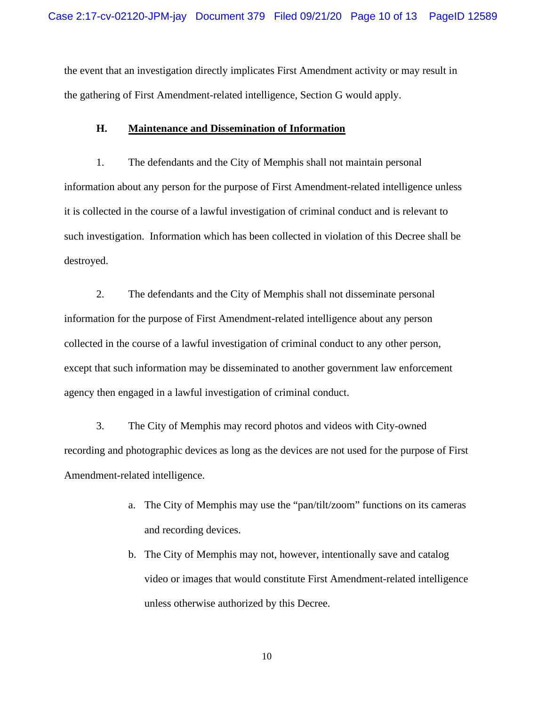the event that an investigation directly implicates First Amendment activity or may result in the gathering of First Amendment-related intelligence, Section G would apply.

## **H. Maintenance and Dissemination of Information**

1. The defendants and the City of Memphis shall not maintain personal information about any person for the purpose of First Amendment-related intelligence unless it is collected in the course of a lawful investigation of criminal conduct and is relevant to such investigation. Information which has been collected in violation of this Decree shall be destroyed.

2. The defendants and the City of Memphis shall not disseminate personal information for the purpose of First Amendment-related intelligence about any person collected in the course of a lawful investigation of criminal conduct to any other person, except that such information may be disseminated to another government law enforcement agency then engaged in a lawful investigation of criminal conduct.

3. The City of Memphis may record photos and videos with City-owned recording and photographic devices as long as the devices are not used for the purpose of First Amendment-related intelligence.

- a. The City of Memphis may use the "pan/tilt/zoom" functions on its cameras and recording devices.
- b. The City of Memphis may not, however, intentionally save and catalog video or images that would constitute First Amendment-related intelligence unless otherwise authorized by this Decree.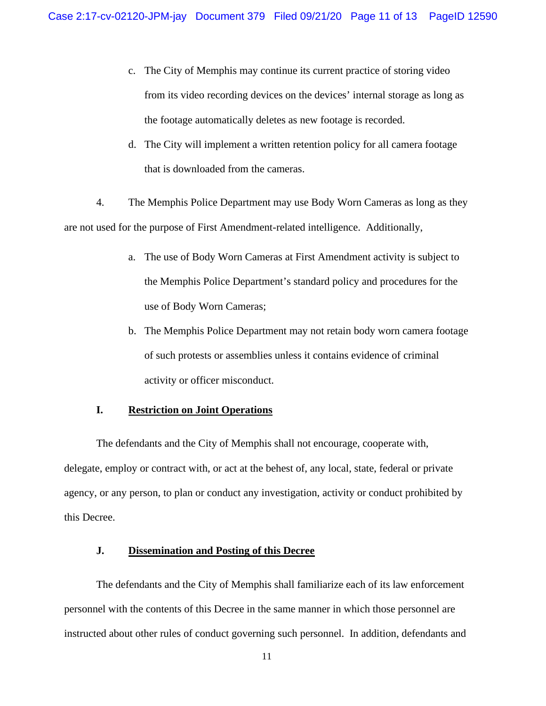- c. The City of Memphis may continue its current practice of storing video from its video recording devices on the devices' internal storage as long as the footage automatically deletes as new footage is recorded.
- d. The City will implement a written retention policy for all camera footage that is downloaded from the cameras.

4. The Memphis Police Department may use Body Worn Cameras as long as they are not used for the purpose of First Amendment-related intelligence. Additionally,

- a. The use of Body Worn Cameras at First Amendment activity is subject to the Memphis Police Department's standard policy and procedures for the use of Body Worn Cameras;
- b. The Memphis Police Department may not retain body worn camera footage of such protests or assemblies unless it contains evidence of criminal activity or officer misconduct.

#### **I. Restriction on Joint Operations**

The defendants and the City of Memphis shall not encourage, cooperate with, delegate, employ or contract with, or act at the behest of, any local, state, federal or private agency, or any person, to plan or conduct any investigation, activity or conduct prohibited by this Decree.

# **J. Dissemination and Posting of this Decree**

The defendants and the City of Memphis shall familiarize each of its law enforcement personnel with the contents of this Decree in the same manner in which those personnel are instructed about other rules of conduct governing such personnel. In addition, defendants and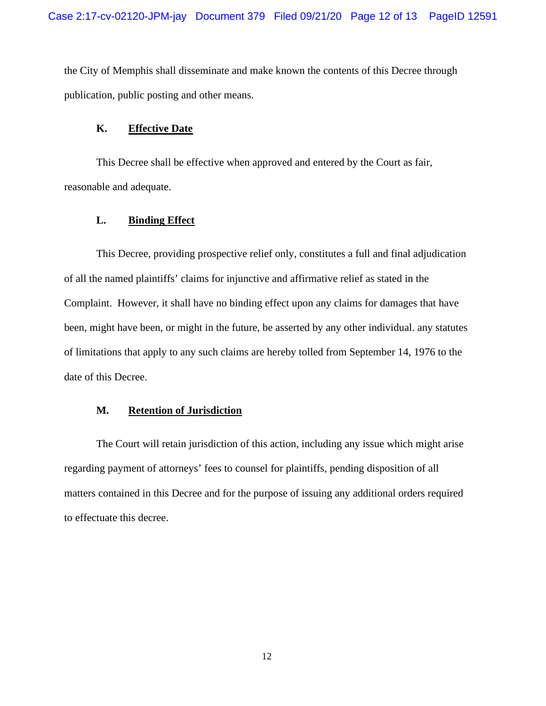the City of Memphis shall disseminate and make known the contents of this Decree through publication, public posting and other means.

## **K. Effective Date**

This Decree shall be effective when approved and entered by the Court as fair, reasonable and adequate.

## **L. Binding Effect**

This Decree, providing prospective relief only, constitutes a full and final adjudication of all the named plaintiffs' claims for injunctive and affirmative relief as stated in the Complaint. However, it shall have no binding effect upon any claims for damages that have been, might have been, or might in the future, be asserted by any other individual. any statutes of limitations that apply to any such claims are hereby tolled from September 14, 1976 to the date of this Decree.

#### **M. Retention of Jurisdiction**

The Court will retain jurisdiction of this action, including any issue which might arise regarding payment of attorneys' fees to counsel for plaintiffs, pending disposition of all matters contained in this Decree and for the purpose of issuing any additional orders required to effectuate this decree.